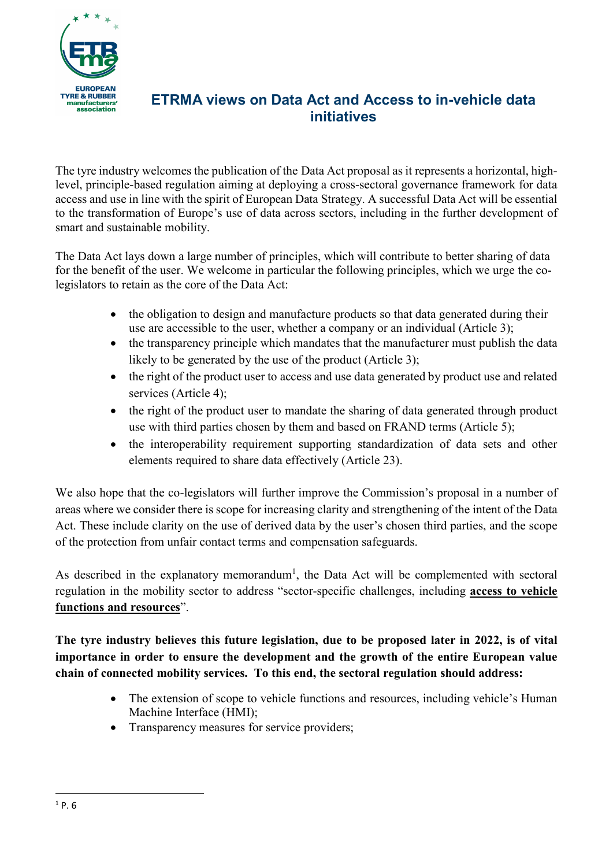

## ETRMA views on Data Act and Access to in-vehicle data initiatives

The tyre industry welcomes the publication of the Data Act proposal as it represents a horizontal, highlevel, principle-based regulation aiming at deploying a cross-sectoral governance framework for data access and use in line with the spirit of European Data Strategy. A successful Data Act will be essential to the transformation of Europe's use of data across sectors, including in the further development of smart and sustainable mobility.

The Data Act lays down a large number of principles, which will contribute to better sharing of data for the benefit of the user. We welcome in particular the following principles, which we urge the colegislators to retain as the core of the Data Act:

- the obligation to design and manufacture products so that data generated during their use are accessible to the user, whether a company or an individual (Article 3);
- the transparency principle which mandates that the manufacturer must publish the data likely to be generated by the use of the product (Article 3);
- the right of the product user to access and use data generated by product use and related services (Article 4);
- the right of the product user to mandate the sharing of data generated through product use with third parties chosen by them and based on FRAND terms (Article 5);
- the interoperability requirement supporting standardization of data sets and other elements required to share data effectively (Article 23).

We also hope that the co-legislators will further improve the Commission's proposal in a number of areas where we consider there is scope for increasing clarity and strengthening of the intent of the Data Act. These include clarity on the use of derived data by the user's chosen third parties, and the scope of the protection from unfair contact terms and compensation safeguards.

As described in the explanatory memorandum<sup>1</sup>, the Data Act will be complemented with sectoral regulation in the mobility sector to address "sector-specific challenges, including access to vehicle functions and resources".

The tyre industry believes this future legislation, due to be proposed later in 2022, is of vital importance in order to ensure the development and the growth of the entire European value chain of connected mobility services. To this end, the sectoral regulation should address:

- The extension of scope to vehicle functions and resources, including vehicle's Human Machine Interface (HMI);
- Transparency measures for service providers;